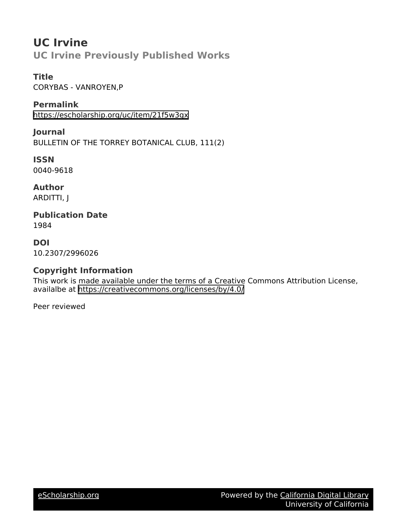## **UC Irvine UC Irvine Previously Published Works**

## **Title**

CORYBAS - VANROYEN,P

**Permalink** <https://escholarship.org/uc/item/21f5w3gx>

**Journal** BULLETIN OF THE TORREY BOTANICAL CLUB, 111(2)

**ISSN** 0040-9618

**Author** ARDITTI, J

**Publication Date** 1984

**DOI** 10.2307/2996026

## **Copyright Information**

This work is made available under the terms of a Creative Commons Attribution License, availalbe at <https://creativecommons.org/licenses/by/4.0/>

Peer reviewed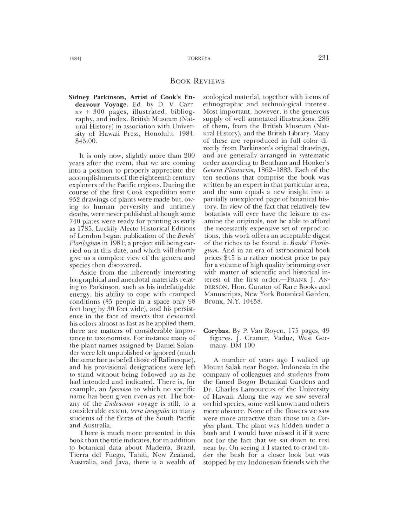## BOOK REVIEWS

Sidney Parkinson, Artist of Cook's Endeavour Voyage. Ed. by D. V. Carr. xv + 300 pages, illustrated, bibliography, and index. British Museum (Natural History) in association with University of Hawaii Press, Honolulu. 1984. \$45.00.

It is only now, slightly more than 200 years after the event, that we are coming into a position to properly appreciate the accomplishments of the eighteenth century explorers of the Pacific regions. During the course of the first Cook expedition some 952 drawings of plants were made but, owing to human perversity and untimely deaths, were never published although some 740 plates were ready for printing as early as 1785. Luckily Alecto Historical Editions of London began publication of the *Banks' Florilegium* in 1981; a project still being carried on at this date, and which will shortly give us a complete view of the genera and species then discovered.

Aside from the inherently interesting biographical and anecdotal materials relating to Parkinson, such as his indefatigable energy, his ability to cope with cramped conditions (85 people in a space only 98 feet long by 30 feet wide), and his persistence in the face of insects that devoured his colors almost as fast as he applied them, there are matters of considerable importance to taxonomists. For instance many of the plant names assigned by Daniel Solander were left unpublished or ignored (much the same fate as befell those of Rafinesque), and his provisional designations were left to stand without being followed up as he had intended and indicated. There is, for example, an *Ipomoea* to which no specific name has been given even as yet. The botany of the *Endeavour* voyage is still, to a considerable extent, *lerra incognita* to many students of the floras of the South Pacific and Australia.

There is much more presented in this book than the title indicates, for in addition to botanical data about Madeira, Brazil, Tierra del Fuego, Tahiti, New Zealand, Australia, and Java, there is a wealth of zoological material, together with items of ethnographic and technological interest. Most important, however, is the generous supply of well annotated illustrations, 286 of them, from the British Museum (Natural History), and the British Library. Many of these are reproduced in full color directly from Parkinson's original drawings, and are generally arranged in systematic order according to Bentham and Hooker's *Genera Plantarum,* 1862–1883. Each of the ten sections that comprise the book was written by an expert in that particular area, and the sum equals a new insight into a partially unexplored page of botanical history. In view of the fact that relatively few botanists will ever have the leisure to examine the originals, nor be able to afford the necessarily expensive set of reproductions, this work offers an acceptable digest of the riches to be found in *Banhs' Florilegium.* And in an era of astronomical book prices \$45 is a rather modest price to pay for a volume of high quality brimming over with matter of scientific and historical interest of the first order.-FRANK *J. AN-*DERSON, Hon. Curator of Rare Books and Manuscripts, New York Botanical Garden, Bronx, N.Y. 10458.

Corybas. By P. Van Royen. 175 pages, 49 figures. *].* Cramer, Vaduz, West Germany. DM 100

A number of years ago I walked up Mount Salak near Bogar, Indonesia in the company of colleagues and students from the famed Bogor Botanical Gardens and Dr. Charles Lamoureux of the University of Hawaii. Along the way we saw several orchid species, some well known and others more obscure. None of the flowers we saw were more attractive than those on a *Cor*ybas plant. The plant was hidden under a bush and I would have missed it if it were not for the fact that we sat down to rest near by. On seeing it I started to crawl under the bush for a closer look but was stopped by my Indonesian friends with the